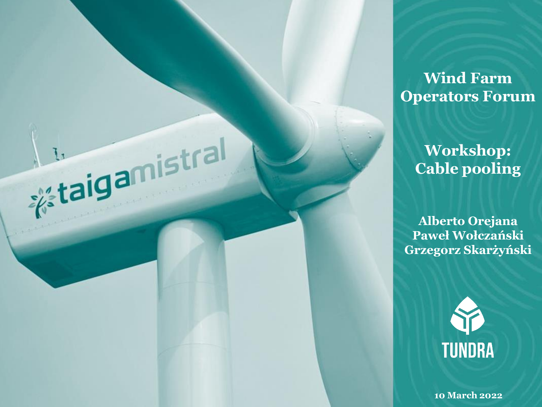**Wind Farm Operators Forum**

> **Workshop: Cable pooling**

**Internal Strategiers** 

 $\mathsf{a}$ 

**Alberto Orejana Paweł Wołczański Grzegorz Skarżyński**



**10 March 2022**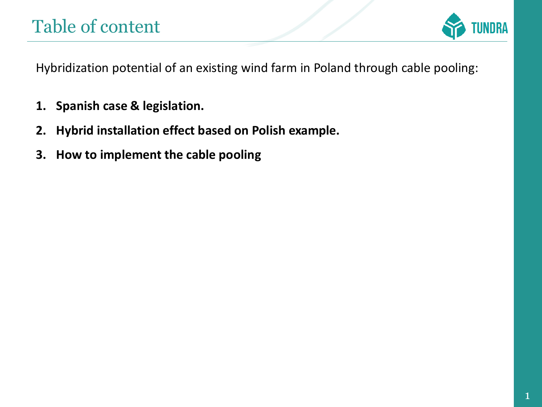

Hybridization potential of an existing wind farm in Poland through cable pooling:

- **1. Spanish case & legislation.**
- **2. Hybrid installation effect based on Polish example.**
- **3. How to implement the cable pooling**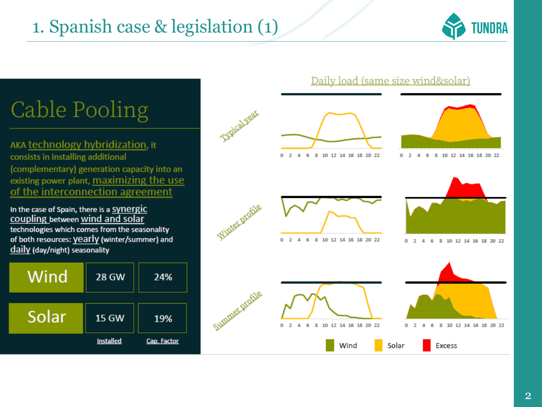## 1. Spanish case & legislation (1)



# Cable Pooling

AKA technology hybridization, it consists in installing additional (complementary) generation capacity into an existing power plant, maximizing the use of the interconnection agreement

In the case of Spain, there is a Synergic coupling between wind and solar technologies which comes from the seasonality of both resources: yearly (winter/summer) and daily (day/night) seasonality

| Wind  | <b>28 GW</b>     | 24%         |
|-------|------------------|-------------|
| Solar | <b>15 GW</b>     | 19%         |
|       | <b>Installed</b> | Cap. Factor |

#### Daily load (same size wind&solar)









6 8 10 12 14 16 18 20 22  $0<sub>2</sub>$ 4





**Excess**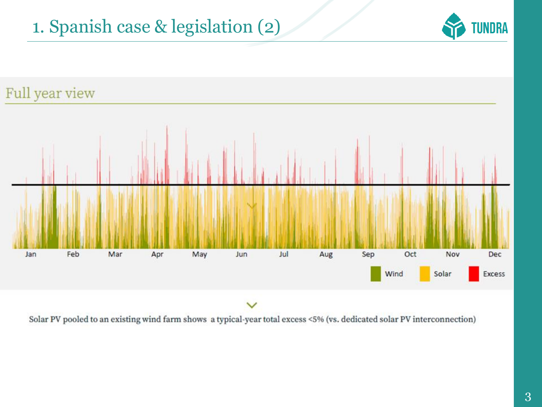## 1. Spanish case & legislation (2)





Solar PV pooled to an existing wind farm shows a typical-year total excess <5% (vs. dedicated solar PV interconnection)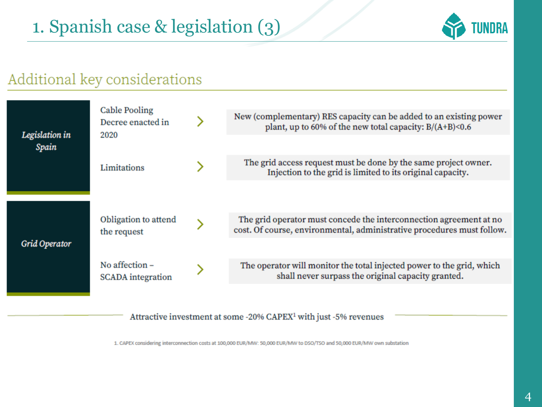

### Additional key considerations



Attractive investment at some -20% CAPEX<sup>1</sup> with just -5% revenues

1. CAPEX considering interconnection costs at 100,000 EUR/MW: 50,000 EUR/MW to DSO/TSO and 50,000 EUR/MW own substation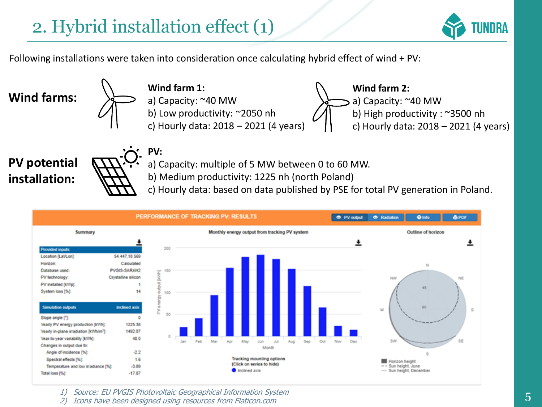**PV:**



Following installations were taken into consideration once calculating hybrid effect of wind + PV:

**Wind farms:**

**Wind farm 1:** a) Capacity: ~40 MW b) Low productivity: ~2050 nh c) Hourly data: 2018 – 2021 (4 years)



**PV potential installation:**



a) Capacity: multiple of 5 MW between 0 to 60 MW.

b) Medium productivity: 1225 nh (north Poland)

c) Hourly data: based on data published by PSE for total PV generation in Poland.



1) Source: EU PVGIS Photovoltaic Geographical Information System

2) Icons have been designed using resources from Flaticon.com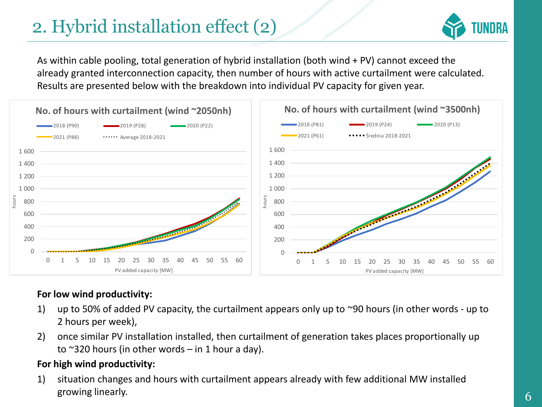## 2. Hybrid installation effect (2)



As within cable pooling, total generation of hybrid installation (both wind + PV) cannot exceed the already granted interconnection capacity, then number of hours with active curtailment were calculated. Results are presented below with the breakdown into individual PV capacity for given year.



#### **For low wind productivity:**

- 1) up to 50% of added PV capacity, the curtailment appears only up to ~90 hours (in other words up to 2 hours per week),
- 2) once similar PV installation installed, then curtailment of generation takes places proportionally up to  $\sim$ 320 hours (in other words – in 1 hour a day).

#### **For high wind productivity:**

1) situation changes and hours with curtailment appears already with few additional MW installed growing linearly.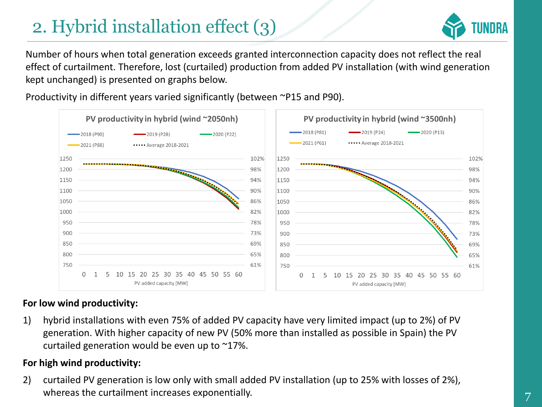## 2. Hybrid installation effect (3)



Number of hours when total generation exceeds granted interconnection capacity does not reflect the real effect of curtailment. Therefore, lost (curtailed) production from added PV installation (with wind generation kept unchanged) is presented on graphs below.

Productivity in different years varied significantly (between ~P15 and P90).



#### **For low wind productivity:**

1) hybrid installations with even 75% of added PV capacity have very limited impact (up to 2%) of PV generation. With higher capacity of new PV (50% more than installed as possible in Spain) the PV curtailed generation would be even up to ~17%.

#### **For high wind productivity:**

2) curtailed PV generation is low only with small added PV installation (up to 25% with losses of 2%), whereas the curtailment increases exponentially.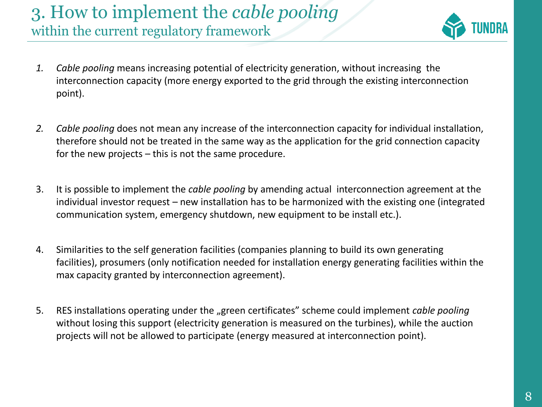### 3. How to implement the *cable pooling*  within the current regulatory framework



- *1. Cable pooling* means increasing potential of electricity generation, without increasing the interconnection capacity (more energy exported to the grid through the existing interconnection point).
- *2. Cable pooling* does not mean any increase of the interconnection capacity for individual installation, therefore should not be treated in the same way as the application for the grid connection capacity for the new projects – this is not the same procedure.
- 3. It is possible to implement the *cable pooling* by amending actual interconnection agreement at the individual investor request – new installation has to be harmonized with the existing one (integrated communication system, emergency shutdown, new equipment to be install etc.).
- 4. Similarities to the self generation facilities (companies planning to build its own generating facilities), prosumers (only notification needed for installation energy generating facilities within the max capacity granted by interconnection agreement).
- 5. RES installations operating under the "green certificates" scheme could implement *cable pooling* without losing this support (electricity generation is measured on the turbines), while the auction projects will not be allowed to participate (energy measured at interconnection point).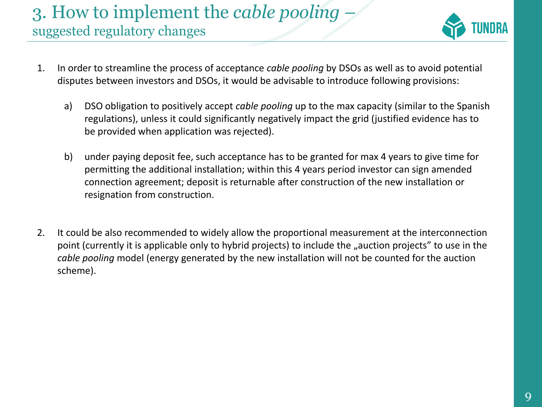### 3. How to implement the *cable pooling* – suggested regulatory changes



- 1. In order to streamline the process of acceptance *cable pooling* by DSOs as well as to avoid potential disputes between investors and DSOs, it would be advisable to introduce following provisions:
	- a) DSO obligation to positively accept *cable pooling* up to the max capacity (similar to the Spanish regulations), unless it could significantly negatively impact the grid (justified evidence has to be provided when application was rejected).
	- b) under paying deposit fee, such acceptance has to be granted for max 4 years to give time for permitting the additional installation; within this 4 years period investor can sign amended connection agreement; deposit is returnable after construction of the new installation or resignation from construction.
- 2. It could be also recommended to widely allow the proportional measurement at the interconnection point (currently it is applicable only to hybrid projects) to include the "auction projects" to use in the *cable pooling* model (energy generated by the new installation will not be counted for the auction scheme).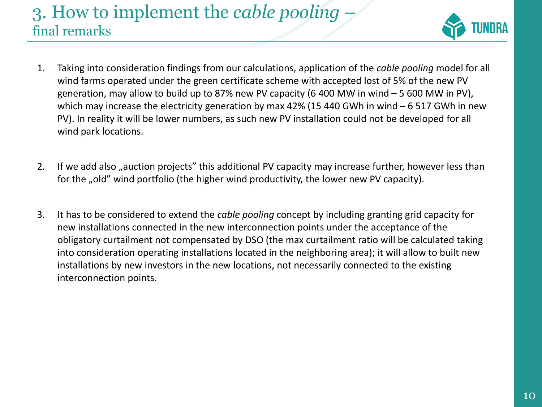### 3. How to implement the *cable pooling* – final remarks



- 1. Taking into consideration findings from our calculations, application of the *cable pooling* model for all wind farms operated under the green certificate scheme with accepted lost of 5% of the new PV generation, may allow to build up to 87% new PV capacity (6 400 MW in wind  $-5600$  MW in PV), which may increase the electricity generation by max 42% (15 440 GWh in wind – 6 517 GWh in new PV). In reality it will be lower numbers, as such new PV installation could not be developed for all wind park locations.
- 2. If we add also "auction projects" this additional PV capacity may increase further, however less than for the "old" wind portfolio (the higher wind productivity, the lower new PV capacity).
- 3. It has to be considered to extend the *cable pooling* concept by including granting grid capacity for new installations connected in the new interconnection points under the acceptance of the obligatory curtailment not compensated by DSO (the max curtailment ratio will be calculated taking into consideration operating installations located in the neighboring area); it will allow to built new installations by new investors in the new locations, not necessarily connected to the existing interconnection points.